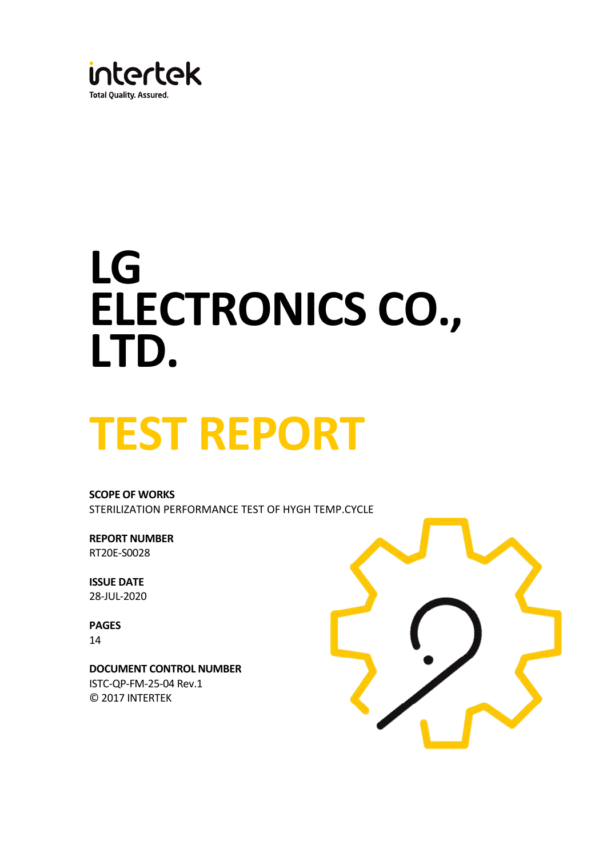

# **LG ELECTRONICS CO., LTD.**

# **TEST REPORT**

**SCOPE OF WORKS** STERILIZATION PERFORMANCE TEST OF HYGH TEMP.CYCLE

**REPORT NUMBER** RT20E-S0028

**ISSUE DATE**  28-JUL-2020

**PAGES** 14

**DOCUMENT CONTROL NUMBER** ISTC-QP-FM-25-04 Rev.1 © 2017 INTERTEK

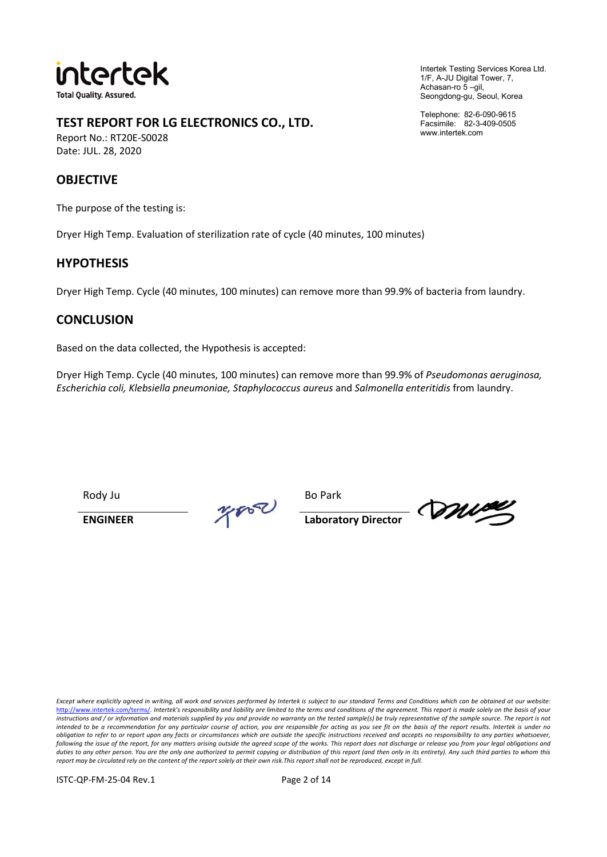

**TEST REPORT FOR LG ELECTRONICS CO., LTD.**

Report No.: RT20E-S0028 Date: JUL. 28, 2020

#### **OBJECTIVE**

The purpose of the testing is:

Dryer High Temp. Evaluation of sterilization rate of cycle (40 minutes, 100 minutes)

#### **HYPOTHESIS**

Dryer High Temp. Cycle (40 minutes, 100 minutes) can remove more than 99.9% of bacteria from laundry.

#### **CONCLUSION**

Based on the data collected, the Hypothesis is accepted:

Dryer High Temp. Cycle (40 minutes, 100 minutes) can remove more than 99.9% of *Pseudomonas aeruginosa, Escherichia coli, Klebsiella pneumoniae, Staphylococcus aureus* and *Salmonella enteritidis* from laundry.

Rody Ju Bo Park<br>ENGINEER  $\frac{p}{\sqrt{p}}$ 

**ENGINEER Laboratory Director**

mise

*Except where explicitly agreed in writing, all work and services performed by Intertek is subject to our standard Terms and Conditions which can be obtained at our website:* http://www.intertek.com/terms/*. Intertek's responsibility and liability are limited to the terms and conditions of the agreement. This report is made solely on the basis of your instructions and / or information and materials supplied by you and provide no warranty on the tested sample(s) be truly representative of the sample source. The report is not*  intended to be a recommendation for any particular course of action, you are responsible for acting as you see fit on the basis of the report results. Intertek is under no<br>obligation to refer to or report upon any facts or duties to any other person. You are the only one authorized to permit copying or distribution of this report (and then only in its entirety). Any such third parties to whom this report solely at their own risk. This report

ISTC-QP-FM-25-04 Rev.1 Page 2 of 14

Intertek Testing Services Korea Ltd. 1/F, A-JU Digital Tower, 7, Achasan-ro 5 –gil, Seongdong-gu, Seoul, Korea

Telephone: 82-6-090-9615 Facsimile: 82-3-409-0505 www.intertek.com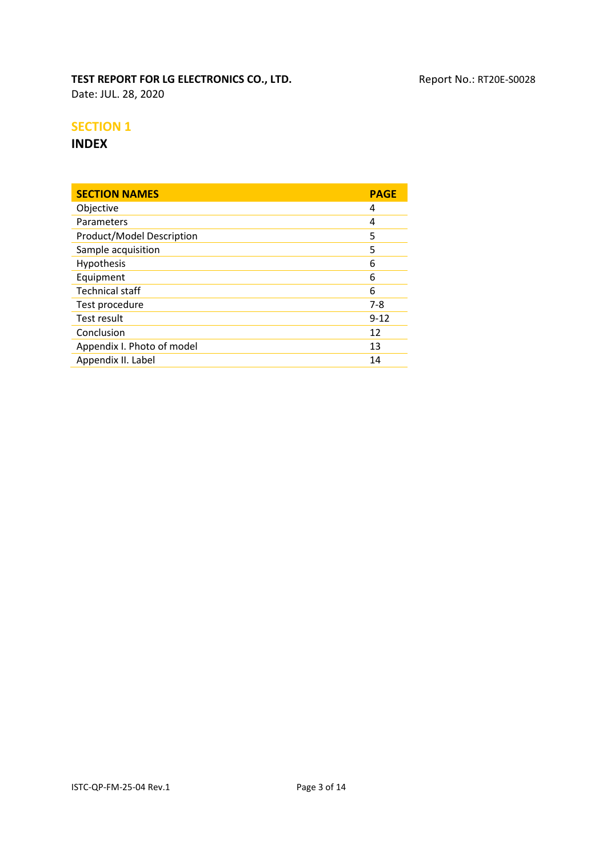**TEST REPORT FOR LG ELECTRONICS CO., LTD.** Report No.: RT20E-S0028 Date: JUL. 28, 2020

#### **SECTION 1**

#### **INDEX**

| Objective<br>4<br>Parameters<br>4<br>Product/Model Description<br>5<br>Sample acquisition<br>5<br>Hypothesis<br>6<br>Equipment<br>6<br><b>Technical staff</b><br>6<br>Test procedure<br>$7-8$<br>Test result<br>$9 - 12$<br>Conclusion<br>12<br>Appendix I. Photo of model<br>13 | <b>SECTION NAMES</b> | <b>PAGE</b> |
|----------------------------------------------------------------------------------------------------------------------------------------------------------------------------------------------------------------------------------------------------------------------------------|----------------------|-------------|
|                                                                                                                                                                                                                                                                                  |                      |             |
|                                                                                                                                                                                                                                                                                  |                      |             |
|                                                                                                                                                                                                                                                                                  |                      |             |
|                                                                                                                                                                                                                                                                                  |                      |             |
|                                                                                                                                                                                                                                                                                  |                      |             |
|                                                                                                                                                                                                                                                                                  |                      |             |
|                                                                                                                                                                                                                                                                                  |                      |             |
|                                                                                                                                                                                                                                                                                  |                      |             |
|                                                                                                                                                                                                                                                                                  |                      |             |
|                                                                                                                                                                                                                                                                                  |                      |             |
|                                                                                                                                                                                                                                                                                  |                      |             |
|                                                                                                                                                                                                                                                                                  | Appendix II. Label   | 14          |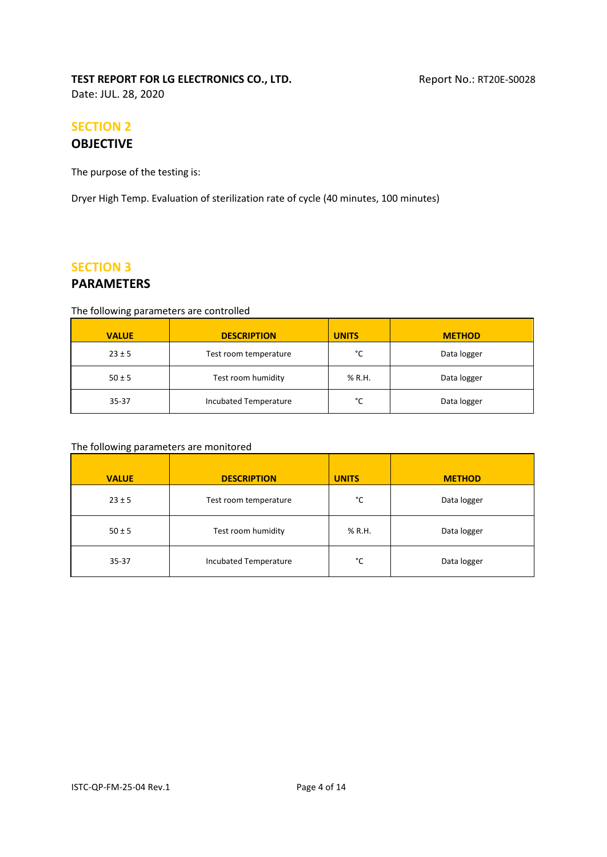#### **TEST REPORT FOR LG ELECTRONICS CO., LTD.** Report No.: RT20E-S0028 Date: JUL. 28, 2020

# **SECTION 2**

## **OBJECTIVE**

The purpose of the testing is:

Dryer High Temp. Evaluation of sterilization rate of cycle (40 minutes, 100 minutes)

#### **SECTION 3**

#### **PARAMETERS**

#### The following parameters are controlled

| <b>VALUE</b> | <b>DESCRIPTION</b>    | <b>UNITS</b> | <b>METHOD</b> |
|--------------|-----------------------|--------------|---------------|
| $23 \pm 5$   | Test room temperature | °C           | Data logger   |
| $50 \pm 5$   | Test room humidity    | % R.H.       | Data logger   |
| 35-37        | Incubated Temperature | °C           | Data logger   |

#### The following parameters are monitored

| <b>VALUE</b> | <b>DESCRIPTION</b>    | <b>UNITS</b> | <b>METHOD</b> |
|--------------|-----------------------|--------------|---------------|
| $23 \pm 5$   | Test room temperature | °C           | Data logger   |
| $50 \pm 5$   | Test room humidity    | % R.H.       | Data logger   |
| $35 - 37$    | Incubated Temperature | °C           | Data logger   |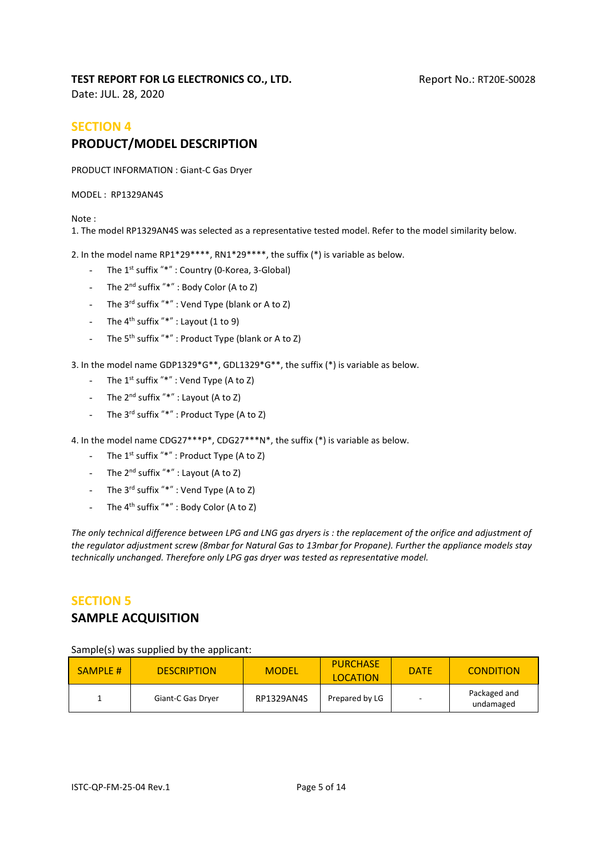Date: JUL. 28, 2020

### **SECTION 4 PRODUCT/MODEL DESCRIPTION**

PRODUCT INFORMATION : Giant-C Gas Dryer

MODEL : RP1329AN4S

Note :

1. The model RP1329AN4S was selected as a representative tested model. Refer to the model similarity below.

2. In the model name RP1\*29\*\*\*\*, RN1\*29\*\*\*\*, the suffix (\*) is variable as below.

- The 1<sup>st</sup> suffix "\*" : Country (0-Korea, 3-Global)
- The  $2^{nd}$  suffix "\*" : Body Color (A to Z)
- The  $3^{rd}$  suffix "\*" : Vend Type (blank or A to Z)
- The  $4^{th}$  suffix "\*" : Layout (1 to 9)
- The 5<sup>th</sup> suffix "\*" : Product Type (blank or A to Z)

3. In the model name GDP1329\*G\*\*, GDL1329\*G\*\*, the suffix (\*) is variable as below.

- The  $1^{st}$  suffix "\*" : Vend Type (A to Z)
- The  $2^{nd}$  suffix "\*" : Layout (A to Z)
- The 3<sup>rd</sup> suffix "\*" : Product Type (A to Z)

4. In the model name CDG27\*\*\*P\*, CDG27\*\*\*N\*, the suffix (\*) is variable as below.

- The 1<sup>st</sup> suffix "\*" : Product Type (A to Z)
- The  $2^{nd}$  suffix "\*" : Layout (A to Z)
- The  $3^{rd}$  suffix "\*" : Vend Type (A to Z)
- The  $4^{th}$  suffix "\*" : Body Color (A to Z)

The only technical difference between LPG and LNG gas dryers is : the replacement of the orifice and adjustment of *the regulator adjustment screw (8mbar for Natural Gas to 13mbar for Propane). Further the appliance models stay technically unchanged. Therefore only LPG gas dryer was tested as representative model.*

## **SECTION 5**

#### **SAMPLE ACQUISITION**

Sample(s) was supplied by the applicant:

| <b>SAMPLE #</b> | <b>DESCRIPTION</b> | <b>MODEL</b> | <b>PURCHASE</b><br><b>LOCATION</b> | <b>DATE</b> | <b>CONDITION</b>          |
|-----------------|--------------------|--------------|------------------------------------|-------------|---------------------------|
|                 | Giant-C Gas Dryer  | RP1329AN4S   | Prepared by LG                     |             | Packaged and<br>undamaged |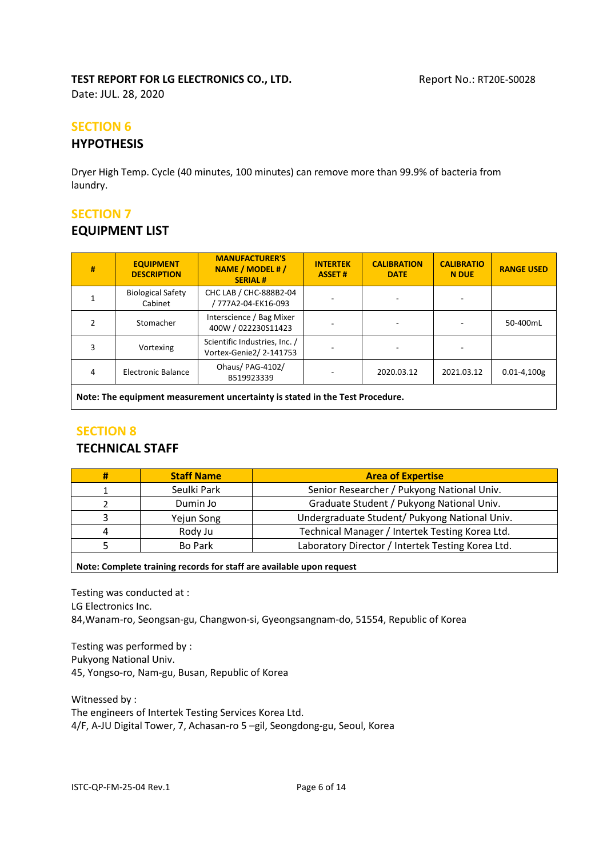Date: JUL. 28, 2020

#### **SECTION 6**

#### **HYPOTHESIS**

Dryer High Temp. Cycle (40 minutes, 100 minutes) can remove more than 99.9% of bacteria from laundry.

#### **SECTION 7**

#### **EQUIPMENT LIST**

| #                                                                            | <b>EQUIPMENT</b><br><b>DESCRIPTION</b> | <b>MANUFACTURER'S</b><br>NAME / MODEL # /<br><b>SERIAL#</b> | <b>INTERTEK</b><br><b>ASSET#</b> | <b>CALIBRATION</b><br><b>DATE</b> | <b>CALIBRATIO</b><br><b>N DUE</b> | <b>RANGE USED</b> |
|------------------------------------------------------------------------------|----------------------------------------|-------------------------------------------------------------|----------------------------------|-----------------------------------|-----------------------------------|-------------------|
|                                                                              | <b>Biological Safety</b><br>Cabinet    | CHC LAB / CHC-888B2-04<br>777A2-04-EK16-093/                |                                  |                                   |                                   |                   |
|                                                                              | Stomacher                              | Interscience / Bag Mixer<br>400W / 022230S11423             |                                  |                                   |                                   | 50-400mL          |
|                                                                              | Vortexing                              | Scientific Industries, Inc. /<br>Vortex-Genie2/2-141753     |                                  |                                   |                                   |                   |
| 4                                                                            | Electronic Balance                     | Ohaus/ PAG-4102/<br>B519923339                              |                                  | 2020.03.12                        | 2021.03.12                        | $0.01 - 4.100g$   |
| Note: The equipment measurement uncertainty is stated in the Test Procedure. |                                        |                                                             |                                  |                                   |                                   |                   |

#### **SECTION 8**

#### **TECHNICAL STAFF**

| # | <b>Staff Name</b> | <b>Area of Expertise</b>                          |
|---|-------------------|---------------------------------------------------|
|   | Seulki Park       | Senior Researcher / Pukyong National Univ.        |
|   | Dumin Jo          | Graduate Student / Pukyong National Univ.         |
|   | Yejun Song        | Undergraduate Student/ Pukyong National Univ.     |
|   | Rody Ju           | Technical Manager / Intertek Testing Korea Ltd.   |
|   | <b>Bo Park</b>    | Laboratory Director / Intertek Testing Korea Ltd. |

**Note: Complete training records for staff are available upon request**

Testing was conducted at : LG Electronics Inc. 84,Wanam-ro, Seongsan-gu, Changwon-si, Gyeongsangnam-do, 51554, Republic of Korea

Testing was performed by : Pukyong National Univ. 45, Yongso-ro, Nam-gu, Busan, Republic of Korea

Witnessed by : The engineers of Intertek Testing Services Korea Ltd. 4/F, A-JU Digital Tower, 7, Achasan-ro 5 -gil, Seongdong-gu, Seoul, Korea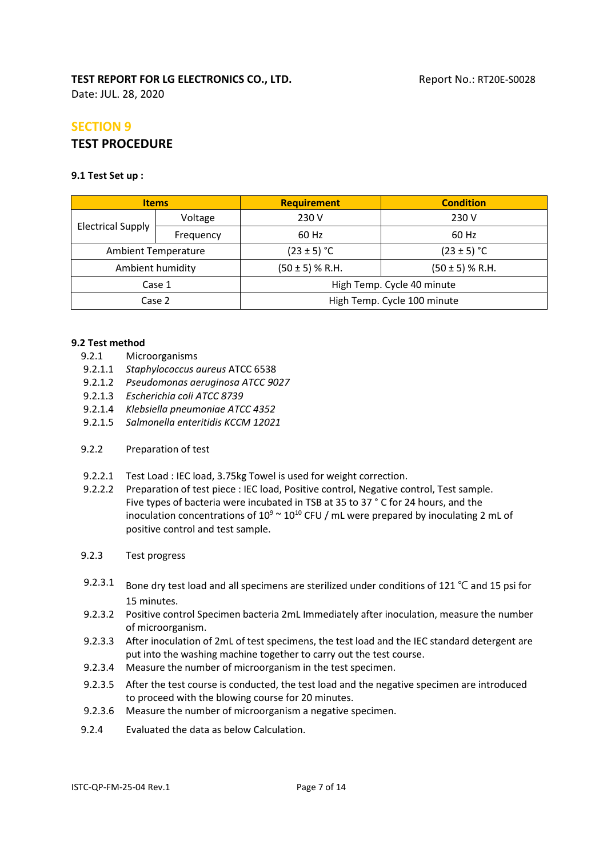Date: JUL. 28, 2020

## **SECTION 9 TEST PROCEDURE**

#### **9.1 Test Set up :**

| <b>Items</b>               |           | <b>Requirement</b>                         | <b>Condition</b> |  |
|----------------------------|-----------|--------------------------------------------|------------------|--|
|                            | Voltage   | 230 V                                      | 230 V            |  |
| <b>Electrical Supply</b>   | Frequency | 60 Hz                                      | 60 Hz            |  |
| <b>Ambient Temperature</b> |           | $(23 \pm 5)$ °C                            | $(23 \pm 5)$ °C  |  |
| Ambient humidity           |           | $(50 \pm 5)$ % R.H.<br>$(50 \pm 5)$ % R.H. |                  |  |
| Case 1                     |           | High Temp. Cycle 40 minute                 |                  |  |
| Case 2                     |           | High Temp. Cycle 100 minute                |                  |  |

#### **9.2 Test method**

- 9.2.1 Microorganisms
- 9.2.1.1 *Staphylococcus aureus* ATCC 6538
- 9.2.1.2 *Pseudomonas aeruginosa ATCC 9027*
- 9.2.1.3 *Escherichia coli ATCC 8739*
- 9.2.1.4 *Klebsiella pneumoniae ATCC 4352*
- 9.2.1.5 *Salmonella enteritidis KCCM 12021*

#### 9.2.2 Preparation of test

- 9.2.2.1 Test Load : IEC load, 3.75kg Towel is used for weight correction.
- 9.2.2.2 Preparation of test piece : IEC load, Positive control, Negative control, Test sample. Five types of bacteria were incubated in TSB at 35 to 37 ° C for 24 hours, and the inoculation concentrations of  $10^9 \text{~}10^{10}$  CFU / mL were prepared by inoculating 2 mL of positive control and test sample.
- 9.2.3 Test progress
- 9.2.3.1 Bone dry test load and all specimens are sterilized under conditions of 121 ℃ and 15 psi for 15 minutes.
- 9.2.3.2 Positive control Specimen bacteria 2mL Immediately after inoculation, measure the number of microorganism.
- 9.2.3.3 After inoculation of 2mL of test specimens, the test load and the IEC standard detergent are put into the washing machine together to carry out the test course.
- 9.2.3.4 Measure the number of microorganism in the test specimen.
- 9.2.3.5 After the test course is conducted, the test load and the negative specimen are introduced to proceed with the blowing course for 20 minutes.
- 9.2.3.6 Measure the number of microorganism a negative specimen.
- 9.2.4 Evaluated the data as below Calculation.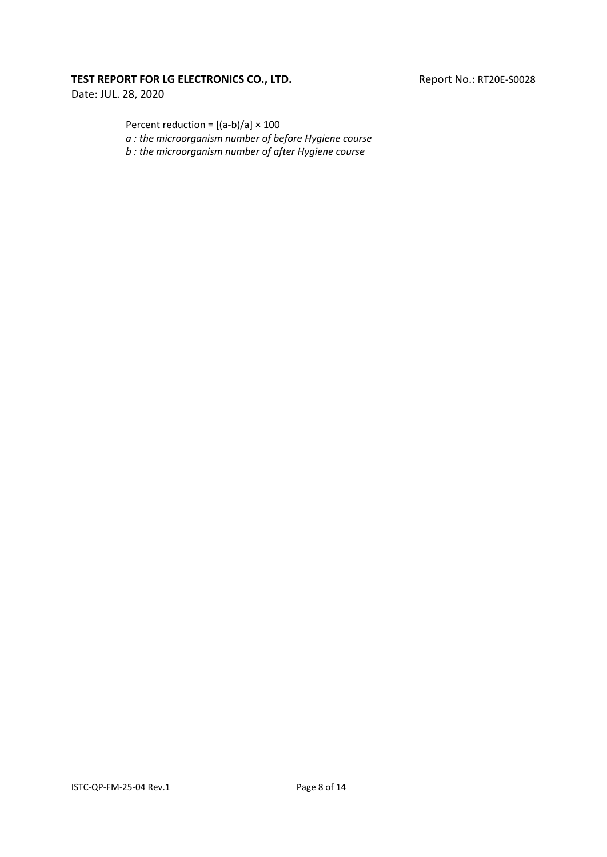Date: JUL. 28, 2020

Percent reduction =  $[(a-b)/a] \times 100$ 

*a : the microorganism number of before Hygiene course*

*b : the microorganism number of after Hygiene course*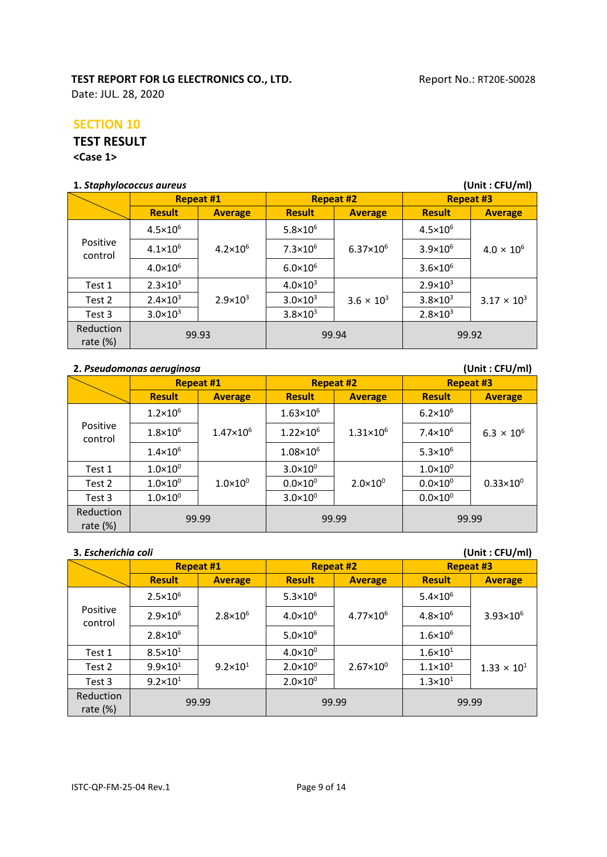Date: JUL. 28, 2020

#### **SECTION 10**

#### **TEST RESULT**

**<Case 1>**

#### **1.** *Staphylococcus aureus* **(Unit : CFU/ml)**

| 1. Stupnylococcus quieus<br>$($ UIII $\iota$ . Cru $\iota$ IIII $\iota$ |                     |                     |                     |                      |                     |                      |  |
|-------------------------------------------------------------------------|---------------------|---------------------|---------------------|----------------------|---------------------|----------------------|--|
|                                                                         | <b>Repeat #1</b>    |                     |                     | <b>Repeat #2</b>     |                     | <b>Repeat #3</b>     |  |
|                                                                         | <b>Result</b>       | <b>Average</b>      | <b>Result</b>       | <b>Average</b>       | <b>Result</b>       | <b>Average</b>       |  |
|                                                                         | $4.5 \times 10^{6}$ |                     | $5.8 \times 10^6$   |                      | $4.5 \times 10^{6}$ |                      |  |
| Positive<br>control                                                     | $4.1 \times 10^{6}$ | $4.2 \times 10^6$   | $7.3 \times 10^{6}$ | $6.37 \times 10^{6}$ | $3.9 \times 10^{6}$ | $4.0 \times 10^{6}$  |  |
|                                                                         | $4.0 \times 10^{6}$ |                     | $6.0 \times 10^{6}$ |                      | $3.6 \times 10^{6}$ |                      |  |
| Test 1                                                                  | $2.3 \times 10^3$   |                     | $4.0 \times 10^3$   |                      | $2.9 \times 10^{3}$ |                      |  |
| Test 2                                                                  | $2.4 \times 10^3$   | $2.9 \times 10^{3}$ | $3.0 \times 10^3$   | $3.6 \times 10^{3}$  | $3.8 \times 10^{3}$ | $3.17 \times 10^{3}$ |  |
| Test 3                                                                  | $3.0 \times 10^3$   |                     | $3.8 \times 10^{3}$ |                      | $2.8 \times 10^3$   |                      |  |
| Reduction<br>rate $(\%)$                                                | 99.93               |                     | 99.94               |                      | 99.92               |                      |  |

#### **2.** *Pseudomonas aeruginosa* **(Unit : CFU/ml)**

|                          | <b>Repeat #1</b>    |                      |                      | <b>Repeat #2</b>     |                     | <b>Repeat #3</b>     |  |
|--------------------------|---------------------|----------------------|----------------------|----------------------|---------------------|----------------------|--|
|                          | <b>Result</b>       | <b>Average</b>       | <b>Result</b>        | <b>Average</b>       | <b>Result</b>       | <b>Average</b>       |  |
|                          | $1.2 \times 10^{6}$ |                      | $1.63 \times 10^{6}$ |                      | $6.2 \times 10^{6}$ |                      |  |
| Positive<br>control      | $1.8 \times 10^{6}$ | $1.47 \times 10^{6}$ | $1.22 \times 10^6$   | $1.31 \times 10^{6}$ | $7.4 \times 10^6$   | $6.3 \times 10^{6}$  |  |
|                          | $1.4 \times 10^{6}$ |                      | $1.08 \times 10^{6}$ |                      | $5.3 \times 10^6$   |                      |  |
| Test 1                   | $1.0\times10^{0}$   |                      | $3.0 \times 10^{0}$  |                      | $1.0 \times 10^{0}$ |                      |  |
| Test 2                   | $1.0 \times 10^{0}$ | $1.0 \times 10^{0}$  | $0.0 \times 10^{0}$  | $2.0 \times 10^{0}$  | $0.0 \times 10^{0}$ | $0.33 \times 10^{0}$ |  |
| Test 3                   | $1.0\times10^{0}$   |                      | $3.0 \times 10^{0}$  |                      | $0.0 \times 10^{0}$ |                      |  |
| Reduction<br>rate $(\%)$ | 99.99               |                      | 99.99                |                      | 99.99               |                      |  |

| 3. Escherichia coli      |                     |                     |                     |                      |                     | (Unit: CFU/ml)       |
|--------------------------|---------------------|---------------------|---------------------|----------------------|---------------------|----------------------|
|                          | <b>Repeat #1</b>    |                     |                     | <b>Repeat #2</b>     |                     | <b>Repeat #3</b>     |
|                          | <b>Result</b>       | <b>Average</b>      | <b>Result</b>       | <b>Average</b>       | <b>Result</b>       | <b>Average</b>       |
|                          | $2.5 \times 10^6$   |                     | $5.3 \times 10^6$   |                      | $5.4 \times 10^6$   |                      |
| Positive<br>control      | $2.9 \times 10^{6}$ | $2.8 \times 10^{6}$ | $4.0 \times 10^{6}$ | $4.77 \times 10^6$   | $4.8 \times 10^{6}$ | $3.93 \times 10^{6}$ |
|                          | $2.8 \times 10^{6}$ |                     | $5.0 \times 10^6$   |                      | $1.6 \times 10^{6}$ |                      |
| Test 1                   | $8.5 \times 10^{1}$ |                     | $4.0 \times 10^{0}$ |                      | $1.6 \times 10^{1}$ |                      |
| Test 2                   | $9.9 \times 10^{1}$ | $9.2 \times 10^{1}$ | $2.0 \times 10^{0}$ | $2.67 \times 10^{0}$ | $1.1 \times 10^{1}$ | $1.33 \times 10^{1}$ |
| Test 3                   | $9.2 \times 10^{1}$ |                     | $2.0 \times 10^{0}$ |                      | $1.3 \times 10^{1}$ |                      |
| Reduction<br>rate $(\%)$ | 99.99               |                     | 99.99               |                      | 99.99               |                      |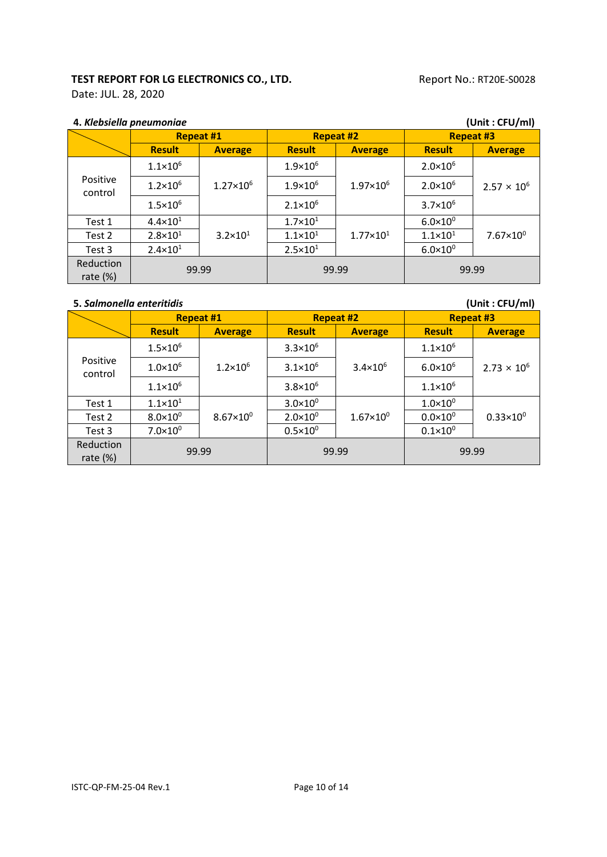Date: JUL. 28, 2020

| 4. Klebsiella pneumoniae |                     |                      |                     | (Unit: CFU/ml)       |                     |                      |  |
|--------------------------|---------------------|----------------------|---------------------|----------------------|---------------------|----------------------|--|
|                          |                     | <b>Repeat #1</b>     |                     | <b>Repeat #2</b>     |                     | <b>Repeat #3</b>     |  |
|                          | <b>Result</b>       | <b>Average</b>       | <b>Result</b>       | <b>Average</b>       | <b>Result</b>       | <b>Average</b>       |  |
|                          | $1.1 \times 10^{6}$ |                      | $1.9\times10^{6}$   |                      | $2.0 \times 10^{6}$ |                      |  |
| Positive<br>control      | $1.2 \times 10^{6}$ | $1.27 \times 10^{6}$ | $1.9 \times 10^{6}$ | $1.97 \times 10^{6}$ | $2.0 \times 10^{6}$ | $2.57 \times 10^{6}$ |  |
|                          | $1.5 \times 10^{6}$ |                      | $2.1 \times 10^{6}$ |                      | $3.7 \times 10^{6}$ |                      |  |
| Test 1                   | $4.4 \times 10^{1}$ |                      | $1.7 \times 10^{1}$ |                      | $6.0 \times 10^{0}$ |                      |  |
| Test 2                   | $2.8 \times 10^{1}$ | $3.2 \times 10^{1}$  | $1.1 \times 10^{1}$ | $1.77 \times 10^{1}$ | $1.1 \times 10^{1}$ | $7.67 \times 10^{0}$ |  |
| Test 3                   | $2.4 \times 10^{1}$ |                      | $2.5 \times 10^{1}$ |                      | $6.0 \times 10^{0}$ |                      |  |
| Reduction<br>rate $(\%)$ | 99.99               |                      | 99.99               |                      | 99.99               |                      |  |

| 5. Salmonella enteritidis |  |
|---------------------------|--|
|---------------------------|--|

**5.** *Salmonella enteritidis* **(Unit : CFU/ml)**

|                          | <b>Repeat #1</b>    |                      | <b>Repeat #2</b>    |                     | <b>Repeat #3</b>    |                      |
|--------------------------|---------------------|----------------------|---------------------|---------------------|---------------------|----------------------|
|                          | <b>Result</b>       | <b>Average</b>       | <b>Result</b>       | <b>Average</b>      | <b>Result</b>       | <b>Average</b>       |
|                          | $1.5 \times 10^{6}$ |                      | $3.3 \times 10^{6}$ |                     | $1.1 \times 10^{6}$ |                      |
| Positive<br>control      | $1.0 \times 10^{6}$ | $1.2 \times 10^{6}$  | $3.1 \times 10^{6}$ | $3.4 \times 10^{6}$ | $6.0 \times 10^{6}$ | $2.73 \times 10^{6}$ |
|                          | $1.1 \times 10^{6}$ |                      | $3.8 \times 10^{6}$ |                     | $1.1 \times 10^{6}$ |                      |
| Test 1                   | $1.1\times10^{1}$   |                      | $3.0 \times 10^{0}$ | $1.67\times10^{0}$  | $1.0 \times 10^{0}$ | $0.33 \times 10^{0}$ |
| Test 2                   | $8.0\times10^{0}$   | $8.67 \times 10^{0}$ | $2.0 \times 10^{0}$ |                     | $0.0 \times 10^{0}$ |                      |
| Test 3                   | $7.0\times10^{0}$   |                      | $0.5\times10^{0}$   |                     | $0.1 \times 10^{0}$ |                      |
| Reduction<br>rate $(\%)$ | 99.99               |                      | 99.99               |                     | 99.99               |                      |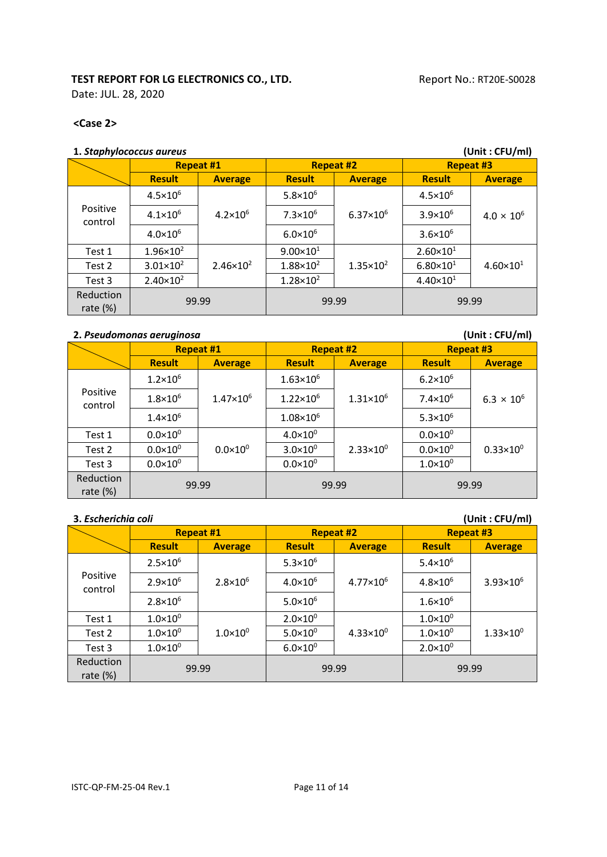Date: JUL. 28, 2020

#### **<Case 2>**

#### **1.** *Staphylococcus aureus* **(Unit : CFU/ml)**

|                          | <b>Repeat #1</b>     |                      | <b>Repeat #2</b>     |                      | <b>Repeat #3</b>     |                      |
|--------------------------|----------------------|----------------------|----------------------|----------------------|----------------------|----------------------|
|                          | <b>Result</b>        | <b>Average</b>       | <b>Result</b>        | <b>Average</b>       | <b>Result</b>        | <b>Average</b>       |
| Positive<br>control      | $4.5 \times 10^{6}$  | $4.2 \times 10^6$    | $5.8 \times 10^6$    | $6.37 \times 10^{6}$ | $4.5 \times 10^{6}$  | $4.0 \times 10^{6}$  |
|                          | $4.1 \times 10^{6}$  |                      | $7.3 \times 10^6$    |                      | $3.9 \times 10^{6}$  |                      |
|                          | $4.0 \times 10^{6}$  |                      | $6.0 \times 10^{6}$  |                      | $3.6 \times 10^{6}$  |                      |
| Test 1                   | $1.96 \times 10^{2}$ |                      | $9.00 \times 10^{1}$ | $1.35 \times 10^{2}$ | $2.60 \times 10^{1}$ | $4.60 \times 10^{1}$ |
| Test 2                   | $3.01 \times 10^{2}$ | $2.46 \times 10^{2}$ | $1.88 \times 10^{2}$ |                      | $6.80 \times 10^{1}$ |                      |
| Test 3                   | $2.40 \times 10^{2}$ |                      | $1.28 \times 10^{2}$ |                      | $4.40 \times 10^{1}$ |                      |
| Reduction<br>rate $(\%)$ | 99.99                |                      | 99.99                |                      | 99.99                |                      |

#### **2.** *Pseudomonas aeruginosa* **(Unit : CFU/ml)**

|                          | <b>Repeat #1</b>    |                      | <b>Repeat #2</b>     |                      | <b>Repeat #3</b>    |                      |
|--------------------------|---------------------|----------------------|----------------------|----------------------|---------------------|----------------------|
|                          | <b>Result</b>       | <b>Average</b>       | <b>Result</b>        | <b>Average</b>       | <b>Result</b>       | <b>Average</b>       |
|                          | $1.2 \times 10^{6}$ |                      | $1.63 \times 10^{6}$ |                      | $6.2 \times 10^{6}$ |                      |
| Positive<br>control      | $1.8 \times 10^{6}$ | $1.47 \times 10^{6}$ | $1.22 \times 10^6$   | $1.31 \times 10^{6}$ | $7.4 \times 10^6$   | $6.3 \times 10^{6}$  |
|                          | $1.4 \times 10^{6}$ |                      | $1.08 \times 10^{6}$ |                      | $5.3 \times 10^6$   |                      |
| Test 1                   | $0.0 \times 10^{0}$ |                      | $4.0 \times 10^{0}$  | $2.33 \times 10^{0}$ | $0.0 \times 10^{0}$ | $0.33 \times 10^{0}$ |
| Test 2                   | $0.0\times10^{0}$   | $0.0 \times 10^{0}$  | $3.0 \times 10^{0}$  |                      | $0.0 \times 10^{0}$ |                      |
| Test 3                   | $0.0 \times 10^{0}$ |                      | $0.0 \times 10^{0}$  |                      | $1.0 \times 10^{0}$ |                      |
| Reduction<br>rate $(\%)$ | 99.99               |                      | 99.99                |                      | 99.99               |                      |

**3.** *Escherichia coli* **(Unit : CFU/ml)**

|                          | <b>Repeat #1</b>    |                     | <b>Repeat #2</b>    |                      | <b>Repeat #3</b>    |                      |  |  |
|--------------------------|---------------------|---------------------|---------------------|----------------------|---------------------|----------------------|--|--|
|                          | <b>Result</b>       | <b>Average</b>      | <b>Result</b>       | <b>Average</b>       | <b>Result</b>       | <b>Average</b>       |  |  |
| Positive<br>control      | $2.5 \times 10^{6}$ |                     | $5.3 \times 10^6$   | $4.77 \times 10^{6}$ | $5.4 \times 10^6$   | $3.93 \times 10^{6}$ |  |  |
|                          | $2.9 \times 10^{6}$ | $2.8 \times 10^{6}$ | $4.0 \times 10^{6}$ |                      | $4.8 \times 10^{6}$ |                      |  |  |
|                          | $2.8 \times 10^{6}$ |                     | $5.0 \times 10^6$   |                      | $1.6 \times 10^{6}$ |                      |  |  |
| Test 1                   | $1.0 \times 10^{0}$ |                     | $2.0 \times 10^{0}$ | $4.33 \times 10^{0}$ | $1.0 \times 10^{0}$ | $1.33 \times 10^{0}$ |  |  |
| Test 2                   | $1.0\times10^{0}$   | $1.0 \times 10^{0}$ | $5.0 \times 10^{0}$ |                      | $1.0 \times 10^{0}$ |                      |  |  |
| Test 3                   | $1.0 \times 10^{0}$ |                     | $6.0 \times 10^{0}$ |                      | $2.0 \times 10^{0}$ |                      |  |  |
| Reduction<br>rate $(\%)$ | 99.99               |                     | 99.99               |                      | 99.99               |                      |  |  |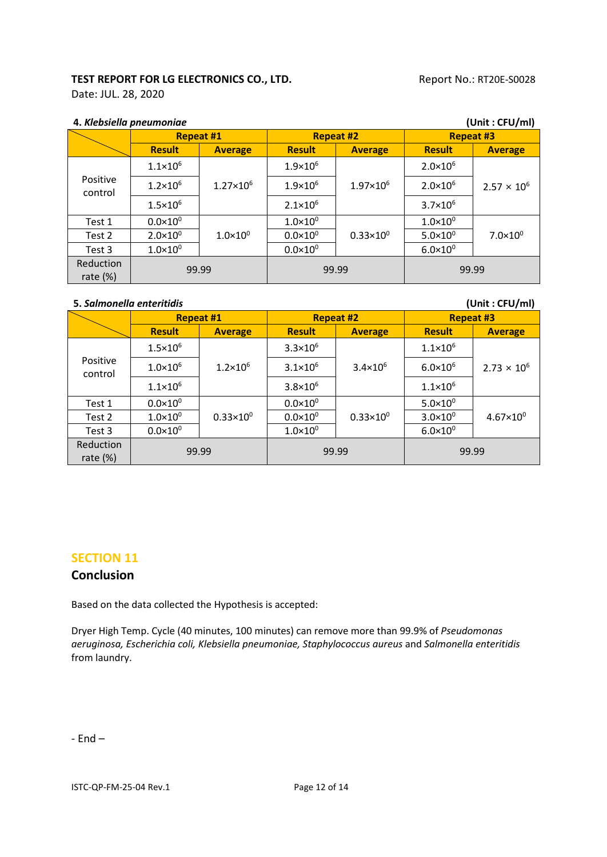Date: JUL. 28, 2020

| 4. Klebsiella pneumoniae        |                     | (Unit: CFU/ml)       |                     |                      |                     |                      |
|---------------------------------|---------------------|----------------------|---------------------|----------------------|---------------------|----------------------|
|                                 | <b>Repeat #1</b>    |                      | <b>Repeat #2</b>    |                      | <b>Repeat #3</b>    |                      |
|                                 | <b>Result</b>       | <b>Average</b>       | <b>Result</b>       | <b>Average</b>       | <b>Result</b>       | <b>Average</b>       |
| Positive<br>control             | $1.1 \times 10^{6}$ | $1.27 \times 10^{6}$ | $1.9 \times 10^{6}$ | $1.97\times10^{6}$   | $2.0 \times 10^{6}$ | $2.57 \times 10^{6}$ |
|                                 | $1.2 \times 10^{6}$ |                      | $1.9 \times 10^{6}$ |                      | $2.0 \times 10^{6}$ |                      |
|                                 | $1.5 \times 10^{6}$ |                      | $2.1 \times 10^{6}$ |                      | $3.7 \times 10^{6}$ |                      |
| Test 1                          | $0.0 \times 10^{0}$ |                      | $1.0 \times 10^{0}$ | $0.33 \times 10^{0}$ | $1.0\times10^{0}$   | $7.0 \times 10^{0}$  |
| Test 2                          | $2.0 \times 10^{0}$ | $1.0 \times 10^{0}$  | $0.0 \times 10^{0}$ |                      | $5.0 \times 10^{0}$ |                      |
| Test 3                          | $1.0\times10^{0}$   |                      | $0.0\times10^{0}$   |                      | $6.0 \times 10^{0}$ |                      |
| <b>Reduction</b><br>rate $(\%)$ | 99.99               |                      | 99.99               |                      | 99.99               |                      |

#### **5.** *Salmonella enteritidis* **(Unit : CFU/ml)**

| 3. Suillionenu ehteritiuis<br>(UIIIL . LFU/IIII) |                     |                      |                     |                      |                     |                      |
|--------------------------------------------------|---------------------|----------------------|---------------------|----------------------|---------------------|----------------------|
|                                                  | <b>Repeat #1</b>    |                      | <b>Repeat #2</b>    |                      | <b>Repeat #3</b>    |                      |
|                                                  | <b>Result</b>       | <b>Average</b>       | <b>Result</b>       | <b>Average</b>       | <b>Result</b>       | <b>Average</b>       |
| Positive<br>control                              | $1.5 \times 10^{6}$ | $1.2 \times 10^{6}$  | $3.3 \times 10^{6}$ | $3.4 \times 10^{6}$  | $1.1 \times 10^{6}$ | $2.73 \times 10^{6}$ |
|                                                  | $1.0\times10^6$     |                      | $3.1 \times 10^{6}$ |                      | $6.0 \times 10^{6}$ |                      |
|                                                  | $1.1\times10^6$     |                      | $3.8 \times 10^{6}$ |                      | $1.1 \times 10^{6}$ |                      |
| Test 1                                           | $0.0 \times 10^{0}$ |                      | $0.0 \times 10^{0}$ | $0.33 \times 10^{0}$ | $5.0 \times 10^{0}$ | $4.67 \times 10^{0}$ |
| Test 2                                           | $1.0\times10^{0}$   | $0.33 \times 10^{0}$ | $0.0 \times 10^{0}$ |                      | $3.0 \times 10^{0}$ |                      |
| Test 3                                           | $0.0 \times 10^{0}$ |                      | $1.0 \times 10^{0}$ |                      | $6.0 \times 10^{0}$ |                      |
| Reduction<br>rate $(\%)$                         | 99.99               |                      | 99.99               |                      | 99.99               |                      |

#### **SECTION 11**

#### **Conclusion**

Based on the data collected the Hypothesis is accepted:

Dryer High Temp. Cycle (40 minutes, 100 minutes) can remove more than 99.9% of *Pseudomonas aeruginosa, Escherichia coli, Klebsiella pneumoniae, Staphylococcus aureus* and *Salmonella enteritidis* from laundry.

- End –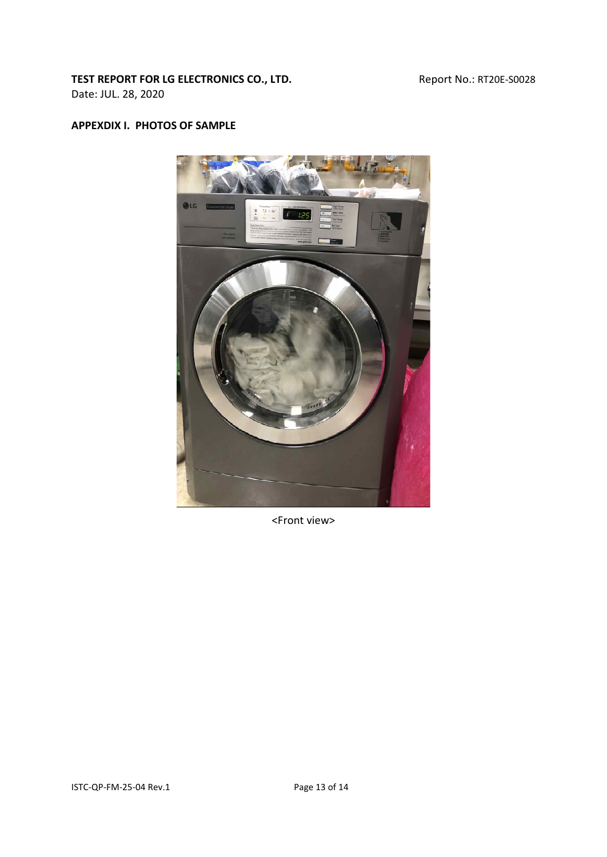Date: JUL. 28, 2020

#### **APPEXDIX I. PHOTOS OF SAMPLE**



<Front view>